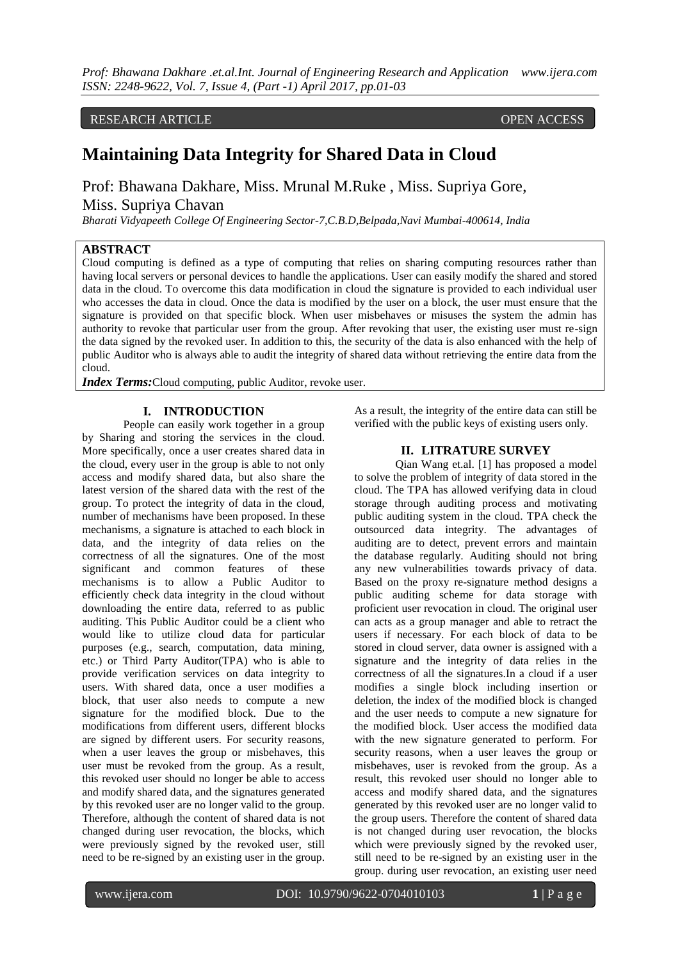*Prof: Bhawana Dakhare .et.al.Int. Journal of Engineering Research and Application www.ijera.com ISSN: 2248-9622, Vol. 7, Issue 4, (Part -1) April 2017, pp.01-03*

RESEARCH ARTICLE OPEN ACCESS

# **Maintaining Data Integrity for Shared Data in Cloud**

Prof: Bhawana Dakhare, Miss. Mrunal M.Ruke , Miss. Supriya Gore, Miss. Supriya Chavan

*Bharati Vidyapeeth College Of Engineering Sector-7,C.B.D,Belpada,Navi Mumbai-400614, India* 

### **ABSTRACT**

Cloud computing is defined as a type of computing that relies on sharing computing resources rather than having local servers or personal devices to handle the applications. User can easily modify the shared and stored data in the cloud. To overcome this data modification in cloud the signature is provided to each individual user who accesses the data in cloud. Once the data is modified by the user on a block, the user must ensure that the signature is provided on that specific block. When user misbehaves or misuses the system the admin has authority to revoke that particular user from the group. After revoking that user, the existing user must re-sign the data signed by the revoked user. In addition to this, the security of the data is also enhanced with the help of public Auditor who is always able to audit the integrity of shared data without retrieving the entire data from the cloud.

*Index Terms:*Cloud computing, public Auditor, revoke user.

### **I. INTRODUCTION**

People can easily work together in a group by Sharing and storing the services in the cloud. More specifically, once a user creates shared data in the cloud, every user in the group is able to not only access and modify shared data, but also share the latest version of the shared data with the rest of the group. To protect the integrity of data in the cloud, number of mechanisms have been proposed. In these mechanisms, a signature is attached to each block in data, and the integrity of data relies on the correctness of all the signatures. One of the most significant and common features of these mechanisms is to allow a Public Auditor to efficiently check data integrity in the cloud without downloading the entire data, referred to as public auditing. This Public Auditor could be a client who would like to utilize cloud data for particular purposes (e.g., search, computation, data mining, etc.) or Third Party Auditor(TPA) who is able to provide verification services on data integrity to users. With shared data, once a user modifies a block, that user also needs to compute a new signature for the modified block. Due to the modifications from different users, different blocks are signed by different users. For security reasons, when a user leaves the group or misbehaves, this user must be revoked from the group. As a result, this revoked user should no longer be able to access and modify shared data, and the signatures generated by this revoked user are no longer valid to the group. Therefore, although the content of shared data is not changed during user revocation, the blocks, which were previously signed by the revoked user, still need to be re-signed by an existing user in the group.

As a result, the integrity of the entire data can still be verified with the public keys of existing users only.

### **II. LITRATURE SURVEY**

Qian Wang et.al. [1] has proposed a model to solve the problem of integrity of data stored in the cloud. The TPA has allowed verifying data in cloud storage through auditing process and motivating public auditing system in the cloud. TPA check the outsourced data integrity. The advantages of auditing are to detect, prevent errors and maintain the database regularly. Auditing should not bring any new vulnerabilities towards privacy of data. Based on the proxy re-signature method designs a public auditing scheme for data storage with proficient user revocation in cloud. The original user can acts as a group manager and able to retract the users if necessary. For each block of data to be stored in cloud server, data owner is assigned with a signature and the integrity of data relies in the correctness of all the signatures.In a cloud if a user modifies a single block including insertion or deletion, the index of the modified block is changed and the user needs to compute a new signature for the modified block. User access the modified data with the new signature generated to perform. For security reasons, when a user leaves the group or misbehaves, user is revoked from the group. As a result, this revoked user should no longer able to access and modify shared data, and the signatures generated by this revoked user are no longer valid to the group users. Therefore the content of shared data is not changed during user revocation, the blocks which were previously signed by the revoked user, still need to be re-signed by an existing user in the group. during user revocation, an existing user need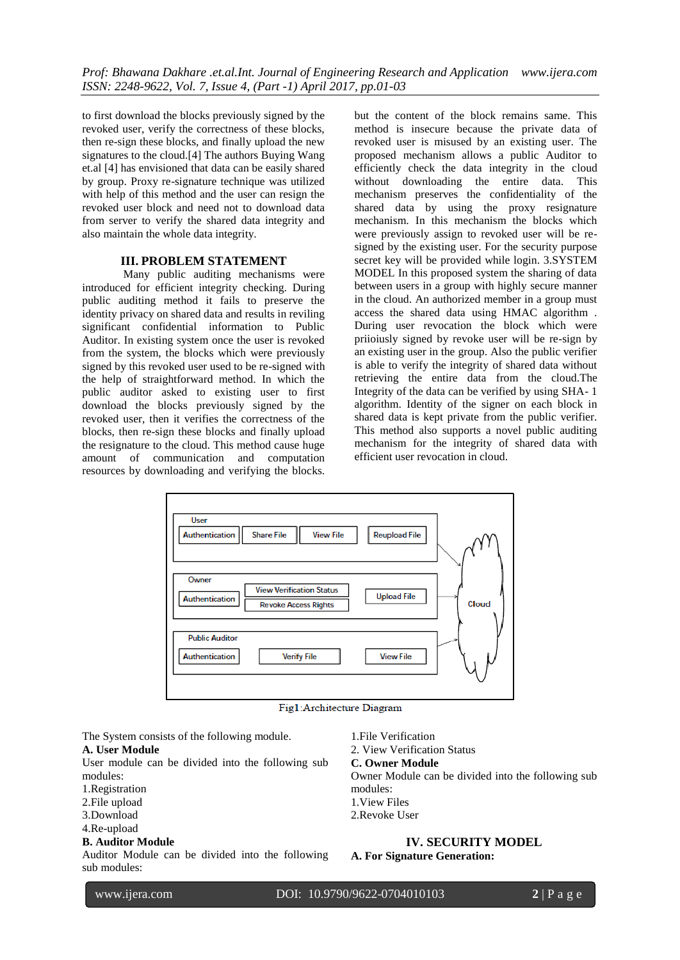to first download the blocks previously signed by the revoked user, verify the correctness of these blocks, then re-sign these blocks, and finally upload the new signatures to the cloud.[4] The authors Buying Wang et.al [4] has envisioned that data can be easily shared by group. Proxy re-signature technique was utilized with help of this method and the user can resign the revoked user block and need not to download data from server to verify the shared data integrity and also maintain the whole data integrity.

## **III. PROBLEM STATEMENT**

Many public auditing mechanisms were introduced for efficient integrity checking. During public auditing method it fails to preserve the identity privacy on shared data and results in reviling significant confidential information to Public Auditor. In existing system once the user is revoked from the system, the blocks which were previously signed by this revoked user used to be re-signed with the help of straightforward method. In which the public auditor asked to existing user to first download the blocks previously signed by the revoked user, then it verifies the correctness of the blocks, then re-sign these blocks and finally upload the resignature to the cloud. This method cause huge amount of communication and computation resources by downloading and verifying the blocks.

but the content of the block remains same. This method is insecure because the private data of revoked user is misused by an existing user. The proposed mechanism allows a public Auditor to efficiently check the data integrity in the cloud without downloading the entire data. This mechanism preserves the confidentiality of the shared data by using the proxy resignature mechanism. In this mechanism the blocks which were previously assign to revoked user will be resigned by the existing user. For the security purpose secret key will be provided while login. 3.SYSTEM MODEL In this proposed system the sharing of data between users in a group with highly secure manner in the cloud. An authorized member in a group must access the shared data using HMAC algorithm . During user revocation the block which were priioiusly signed by revoke user will be re-sign by an existing user in the group. Also the public verifier is able to verify the integrity of shared data without retrieving the entire data from the cloud.The Integrity of the data can be verified by using SHA- 1 algorithm. Identity of the signer on each block in shared data is kept private from the public verifier. This method also supports a novel public auditing mechanism for the integrity of shared data with efficient user revocation in cloud.



Fig1:Architecture Diagram

The System consists of the following module.

### **A. User Module**

User module can be divided into the following sub modules:

- 1.Registration
- 2.File upload
- 3.Download
- 4.Re-upload

# **B. Auditor Module**

Auditor Module can be divided into the following sub modules:

1.File Verification

2. View Verification Status

### **C. Owner Module**

Owner Module can be divided into the following sub modules:

- 1.View Files
- 2.Revoke User

### **IV. SECURITY MODEL**

**A. For Signature Generation:**

www.ijera.com DOI: 10.9790/9622-0704010103 **2** | P a g e